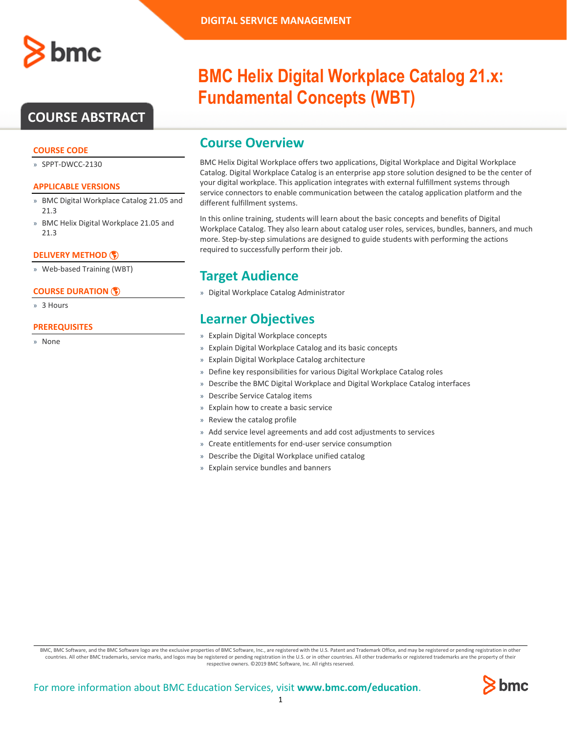

### **COURSE ABSTRACT**

#### **COURSE CODE**

» SPPT-DWCC-2130

#### **APPLICABLE VERSIONS**

- » BMC Digital Workplace Catalog 21.05 and 21.3
- » BMC Helix Digital Workplace 21.05 and 21.3

#### **[DELIVERY METHOD](http://www.bmc.com/education/modality.html)**

» Web-based Training (WBT)

#### **[COURSE DURATION](http://www.bmc.com/education/learning-paths/education-filters-learning-paths.html)**

» 3 Hours

#### **PREREQUISITES**

» None

# **BMC Helix Digital Workplace Catalog 21.x: Fundamental Concepts (WBT)**

### **Course Overview**

BMC Helix Digital Workplace offers two applications, Digital Workplace and Digital Workplace Catalog. Digital Workplace Catalog is an enterprise app store solution designed to be the center of your digital workplace. This application integrates with external fulfillment systems through service connectors to enable communication between the catalog application platform and the different fulfillment systems.

In this online training, students will learn about the basic concepts and benefits of Digital Workplace Catalog. They also learn about catalog user roles, services, bundles, banners, and much more. Step-by-step simulations are designed to guide students with performing the actions required to successfully perform their job.

## **Target Audience**

» Digital Workplace Catalog Administrator

### **Learner Objectives**

- » Explain Digital Workplace concepts
- » Explain Digital Workplace Catalog and its basic concepts
- » Explain Digital Workplace Catalog architecture
- » Define key responsibilities for various Digital Workplace Catalog roles
- » Describe the BMC Digital Workplace and Digital Workplace Catalog interfaces
- » Describe Service Catalog items
- » Explain how to create a basic service
- » Review the catalog profile
- » Add service level agreements and add cost adjustments to services
- » Create entitlements for end-user service consumption
- » Describe the Digital Workplace unified catalog
- » Explain service bundles and banners

BMC, BMC Software, and the BMC Software logo are the exclusive properties of BMC Software, Inc., are registered with the U.S. Patent and Trademark Office, and may be registered or pending registration in other countries. All other BMC trademarks, service marks, and logos may be registered or pending registration in the U.S. or in other countries. All other trademarks or registered trademarks are the property of their respective owners. ©2019 BMC Software, Inc. All rights reserved.